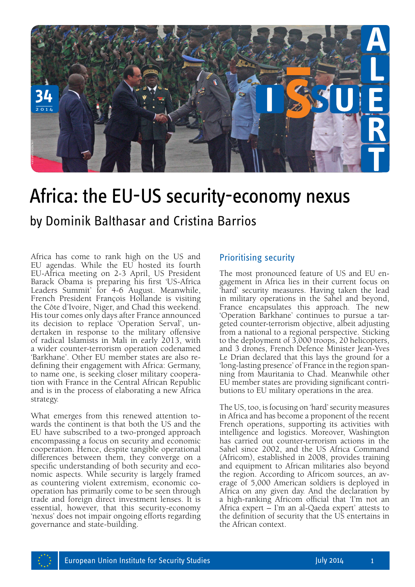

# Africa: the EU-US security-economy nexus

Africa has come to rank high on the US and EU agendas. While the EU hosted its fourth EU-Africa meeting on 2-3 April, US President Barack Obama is preparing his first 'US-Africa Leaders Summit' for 4-6 August. Meanwhile, French President François Hollande is visiting the Côte d'Ivoire, Niger, and Chad this weekend. His tour comes only days after France announced<br>its decision to replace 'Operation Serval', undertaken in response to the military offensive of radical Islamists in Mali in early 2013, with a wider counter-terrorism operation codenamed 'Barkhane'. Other EU member states are also re-<br>defining their engagement with Africa: Germany,<br>to name one, is seeking closer military cooperation with France in the Central African Republic and is in the process of elaborating a new Africa strategy.

What emerges from this renewed attention towards the continent is that both the US and the EU have subscribed to a two-pronged approach encompassing a focus on security and economic cooperation. Hence, despite tangible operational differences between them, they converge on a specific understanding of both security and economic aspects. While security is largely framed as countering violent extremism, economic cooperation has primarily come to be seen through trade and foreign direct investment lenses. It is essential, however, that this security-economy 'nexus' does not impair ongoing efforts regarding governance and state-building.

### Prioritising security

The most pronounced feature of US and EU engagement in Africa lies in their current focus on 'hard' security measures. Having taken the lead in military operations in the Sahel and beyond, France encapsulates this approach. The new 'Operation Barkhane' continues to pursue a targeted counter-terrorism objective, albeit adjusting from a national to a regional perspective. Sticking to the deployment of 3,000 troops, 20 helicopters, and 3 drones, French Defence Minister Jean-Yves Le Drian declared that this lays the ground for a 'long-lasting presence' of France in the region spanning from Mauritania to Chad. Meanwhile other EU member states are providing significant contributions to EU military operations in the area.

The US, too, is focusing on 'hard' security measures in Africa and has become a proponent of the recent French operations, supporting its activities with intelligence and logistics. Moreover, Washington has carried out counter-terrorism actions in the Sahel since 2002, and the US Africa Command (Africom), established in 2008, provides training and equipment to African militaries also beyond the region. According to Africom sources, an average of 5,000 American soldiers is deployed in Africa on any given day. And the declaration by a high-ranking Africom official that 'I'm not an Africa expert – I'm an al-Qaeda expert' attests to the definition of security that the US entertains in the African context.